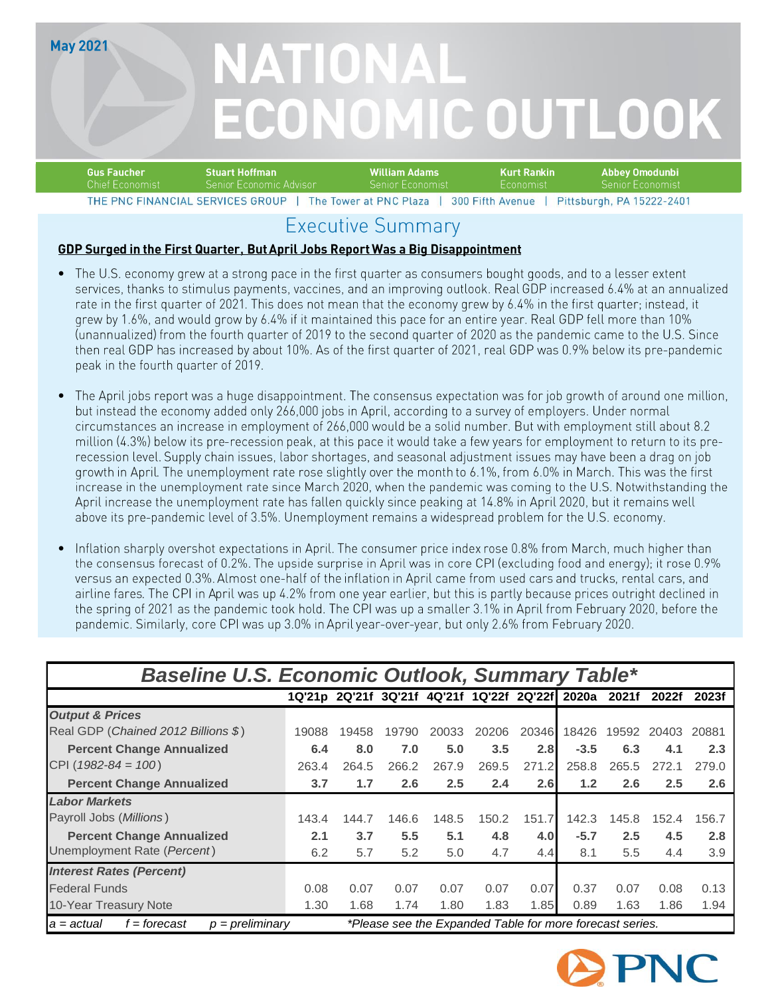**May 2021** 

# NATIONAL **ECONOMIC OUTLOOK**

| <b>Gus Faucher</b>               | Stuart Hoffman           | William Adams                                                        | Kurt Rankin  | - Abbey Omodunbi   |
|----------------------------------|--------------------------|----------------------------------------------------------------------|--------------|--------------------|
| - Chief Economist                | -Senior Economic Advisor | ' Senior Economist.                                                  | i Fconomisti | - Senior Economist |
| THE PNC FINANCIAL SERVICES GROUP |                          | The Tower at PNC Plaza   300 Fifth Avenue   Pittsburgh PA 15222-2401 |              |                    |

### **Executive Summary**

#### GDP Surged in the First Quarter, But April Jobs Report Was a Big Disappointment

- 
- 
- 

| The U.S. economy grew at a strong pace in the first quarter as consumers bought goods, and to a lesser extent<br>services, thanks to stimulus payments, vaccines, and an improving outlook. Real GDP increased 6.4% at an annualized<br>rate in the first quarter of 2021. This does not mean that the economy grew by 6.4% in the first quarter; instead, it<br>grew by 1.6%, and would grow by 6.4% if it maintained this pace for an entire year. Real GDP fell more than 10%<br>(unannualized) from the fourth quarter of 2019 to the second quarter of 2020 as the pandemic came to the U.S. Since<br>then real GDP has increased by about 10%. As of the first quarter of 2021, real GDP was 0.9% below its pre-pandemic<br>peak in the fourth quarter of 2019.                                                                                                                                                                                                                                                                                                           |              |                                                 |              |              |              |              |                               |              |              |              |
|---------------------------------------------------------------------------------------------------------------------------------------------------------------------------------------------------------------------------------------------------------------------------------------------------------------------------------------------------------------------------------------------------------------------------------------------------------------------------------------------------------------------------------------------------------------------------------------------------------------------------------------------------------------------------------------------------------------------------------------------------------------------------------------------------------------------------------------------------------------------------------------------------------------------------------------------------------------------------------------------------------------------------------------------------------------------------------|--------------|-------------------------------------------------|--------------|--------------|--------------|--------------|-------------------------------|--------------|--------------|--------------|
| The April jobs report was a huge disappointment. The consensus expectation was for job growth of around one million,<br>but instead the economy added only 266,000 jobs in April, according to a survey of employers. Under normal<br>circumstances an increase in employment of 266,000 would be a solid number. But with employment still about 8.2<br>million (4.3%) below its pre-recession peak, at this pace it would take a few years for employment to return to its pre-<br>recession level. Supply chain issues, labor shortages, and seasonal adjustment issues may have been a drag on job<br>growth in April. The unemployment rate rose slightly over the month to 6.1%, from 6.0% in March. This was the first<br>increase in the unemployment rate since March 2020, when the pandemic was coming to the U.S. Notwithstanding the<br>April increase the unemployment rate has fallen quickly since peaking at 14.8% in April 2020, but it remains well<br>above its pre-pandemic level of 3.5%. Unemployment remains a widespread problem for the U.S. economy. |              |                                                 |              |              |              |              |                               |              |              |              |
| Inflation sharply overshot expectations in April. The consumer price index rose 0.8% from March, much higher than<br>the consensus forecast of 0.2%. The upside surprise in April was in core CPI (excluding food and energy); it rose 0.9%<br>versus an expected 0.3%. Almost one-half of the inflation in April came from used cars and trucks, rental cars, and                                                                                                                                                                                                                                                                                                                                                                                                                                                                                                                                                                                                                                                                                                              |              |                                                 |              |              |              |              |                               |              |              |              |
| airline fares. The CPI in April was up 4.2% from one year earlier, but this is partly because prices outright declined in<br>the spring of 2021 as the pandemic took hold. The CPI was up a smaller 3.1% in April from February 2020, before the<br>pandemic. Similarly, core CPI was up 3.0% in April year-over-year, but only 2.6% from February 2020.                                                                                                                                                                                                                                                                                                                                                                                                                                                                                                                                                                                                                                                                                                                        |              |                                                 |              |              |              |              |                               |              |              |              |
|                                                                                                                                                                                                                                                                                                                                                                                                                                                                                                                                                                                                                                                                                                                                                                                                                                                                                                                                                                                                                                                                                 |              |                                                 |              |              |              |              |                               |              |              |              |
| <b>Baseline U.S. Economic Outlook, Summary Table*</b>                                                                                                                                                                                                                                                                                                                                                                                                                                                                                                                                                                                                                                                                                                                                                                                                                                                                                                                                                                                                                           |              |                                                 |              |              |              |              |                               |              |              |              |
|                                                                                                                                                                                                                                                                                                                                                                                                                                                                                                                                                                                                                                                                                                                                                                                                                                                                                                                                                                                                                                                                                 |              | 1Q'21p 2Q'21f 3Q'21f 4Q'21f 1Q'22f 2Q'22f 2020a |              |              |              |              |                               |              | 2021f 2022f  | 2023f        |
| <b>Output &amp; Prices</b>                                                                                                                                                                                                                                                                                                                                                                                                                                                                                                                                                                                                                                                                                                                                                                                                                                                                                                                                                                                                                                                      |              |                                                 |              |              |              |              |                               |              |              |              |
| Real GDP (Chained 2012 Billions \$)                                                                                                                                                                                                                                                                                                                                                                                                                                                                                                                                                                                                                                                                                                                                                                                                                                                                                                                                                                                                                                             | 19088        | 19458                                           | 19790        | 20033        | 20206        |              | 20346 18426 19592 20403 20881 |              |              |              |
| <b>Percent Change Annualized</b>                                                                                                                                                                                                                                                                                                                                                                                                                                                                                                                                                                                                                                                                                                                                                                                                                                                                                                                                                                                                                                                | 6.4          | 8.0                                             | 7.0          | $5.0$        | 3.5          | 2.8          | $-3.5$                        | 6.3          | 4.1          | 2.3          |
| CPI ( $1982 - 84 = 100$ )                                                                                                                                                                                                                                                                                                                                                                                                                                                                                                                                                                                                                                                                                                                                                                                                                                                                                                                                                                                                                                                       | 263.4        | 264.5                                           | 266.2        | 267.9        | 269.5        | 271.2        | 258.8                         | 265.5        | 272.1        | 279.0        |
| <b>Percent Change Annualized</b>                                                                                                                                                                                                                                                                                                                                                                                                                                                                                                                                                                                                                                                                                                                                                                                                                                                                                                                                                                                                                                                | 3.7          | 1.7                                             | 2.6          | 2.5          | 2.4          | 2.6          | $1.2$                         | 2.6          | 2.5          | 2.6          |
| <b>Labor Markets</b>                                                                                                                                                                                                                                                                                                                                                                                                                                                                                                                                                                                                                                                                                                                                                                                                                                                                                                                                                                                                                                                            |              |                                                 |              |              |              |              |                               |              |              |              |
| Payroll Jobs (Millions)                                                                                                                                                                                                                                                                                                                                                                                                                                                                                                                                                                                                                                                                                                                                                                                                                                                                                                                                                                                                                                                         | 143.4        | 144.7                                           | 146.6        | 148.5        | 150.2        | 151.7        | 142.3                         |              | 145.8 152.4  | 156.7        |
| <b>Percent Change Annualized</b>                                                                                                                                                                                                                                                                                                                                                                                                                                                                                                                                                                                                                                                                                                                                                                                                                                                                                                                                                                                                                                                | 2.1          | 3.7                                             | $5.5$        | 5.1          | 4.8          | 4.0          | $-5.7$                        | $2.5\,$      | 4.5          | 2.8          |
| Unemployment Rate (Percent)                                                                                                                                                                                                                                                                                                                                                                                                                                                                                                                                                                                                                                                                                                                                                                                                                                                                                                                                                                                                                                                     | 6.2          | 5.7                                             | 5.2          | 5.0          | 4.7          | 4.4          | 8.1                           | 5.5          | 4.4          | 3.9          |
| <b>Interest Rates (Percent)</b>                                                                                                                                                                                                                                                                                                                                                                                                                                                                                                                                                                                                                                                                                                                                                                                                                                                                                                                                                                                                                                                 |              |                                                 |              |              |              |              |                               |              |              |              |
| <b>Federal Funds</b><br>10-Year Treasury Note                                                                                                                                                                                                                                                                                                                                                                                                                                                                                                                                                                                                                                                                                                                                                                                                                                                                                                                                                                                                                                   | 0.08<br>1.30 | 0.07<br>1.68                                    | 0.07<br>1.74 | 0.07<br>1.80 | 0.07<br>1.83 | 0.07<br>1.85 | 0.37<br>0.89                  | 0.07<br>1.63 | 0.08<br>1.86 | 0.13<br>1.94 |

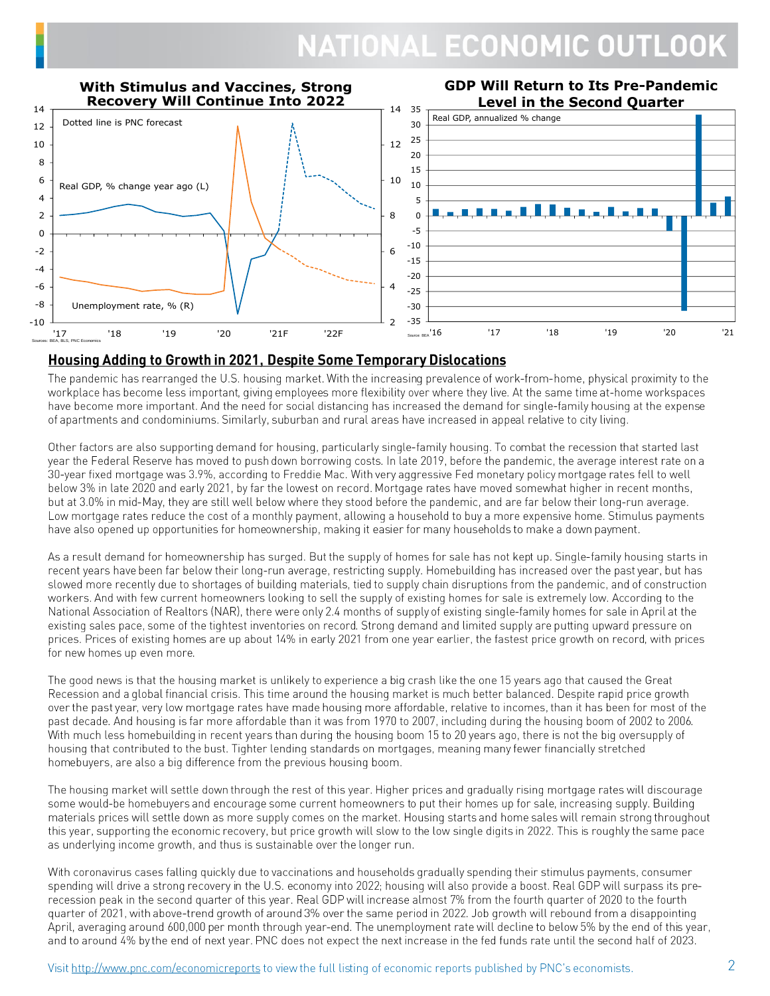

#### **Housing Adding to Growth in 2021, Despite Some Temporary Dislocations**

The pandemic has rearranged the U.S. housing market. With the increasing prevalence of work-from-home, physical proximity to the workplace has become less important, giving employees more flexibility over where they live. At the same time at-home workspaces have become more important. And the need for social distancing has increased the demand for single-family housing at the expense of apartments and condominiums. Similarly, suburban and rural areas have increased in appeal relative to city living.

Other factors are also supporting demand for housing, particularly single-family housing. To combat the recession that started last year the Federal Reserve has moved to push down borrowing costs. In late 2019, before the pandemic, the average interest rate on a 30-year fixed mortgage was 3.9%, according to Freddie Mac. With very aggressive Fed monetary policy mortgage rates fell to well below 3% in late 2020 and early 2021, by far the lowest on record. Mortgage rates have moved somewhat higher in recent months, but at 3.0% in mid-May, they are still well below where they stood before the pandemic, and are far below their long-run average. Low mortgage rates reduce the cost of a monthly payment, allowing a household to buy a more expensive home. Stimulus payments have also opened up opportunities for homeownership, making it easier for many households to make a down payment.

As a result demand for homeownership has surged. But the supply of homes for sale has not kept up. Single-family housing starts in recent years have been far below their long-run average, restricting supply. Homebuilding has increased over the past year, but has slowed more recently due to shortages of building materials, tied to supply chain disruptions from the pandemic, and of construction workers. And with few current homeowners looking to sell the supply of existing homes for sale is extremely low. According to the National Association of Realtors (NAR), there were only 2.4 months of supply of existing single-family homes for sale in April at the existing sales pace, some of the tightest inventories on record. Strong demand and limited supply are putting upward pressure on prices. Prices of existing homes are up about 14% in early 2021 from one year earlier, the fastest price growth on record, with prices for new homes up even more.

The good news is that the housing market is unlikely to experience a big crash like the one 15 years ago that caused the Great Recession and a global financial crisis. This time around the housing market is much better balanced. Despite rapid price growth over the past year, very low mortgage rates have made housing more affordable, relative to incomes, than it has been for most of the past decade. And housing is far more affordable than it was from 1970 to 2007, including during the housing boom of 2002 to 2006. With much less homebuilding in recent years than during the housing boom 15 to 20 years ago, there is not the big oversupply of housing that contributed to the bust. Tighter lending standards on mortgages, meaning many fewer financially stretched homebuyers, are also a big difference from the previous housing boom.

The housing market will settle down through the rest of this year. Higher prices and gradually rising mortgage rates will discourage some would-be homebuyers and encourage some current homeowners to put their homes up for sale, increasing supply. Building materials prices will settle down as more supply comes on the market. Housing starts and home sales will remain strong throughout this year, supporting the economic recovery, but price growth will slow to the low single digits in 2022. This is roughly the same pace as underlying income growth, and thus is sustainable over the longer run.

With coronavirus cases falling quickly due to vaccinations and households gradually spending their stimulus payments, consumer spending will drive a strong recovery in the U.S. economy into 2022; housing will also provide a boost. Real GDP will surpass its prerecession peak in the second quarter of this year. Real GDP will increase almost 7% from the fourth quarter of 2020 to the fourth quarter of 2021, with above-trend growth of around 3% over the same period in 2022. Job growth will rebound from a disappointing April, averaging around 600,000 per month through year-end. The unemployment rate will decline to below 5% by the end of this year, and to around 4% by the end of next year. PNC does not expect the next increase in the fed funds rate until the second half of 2023.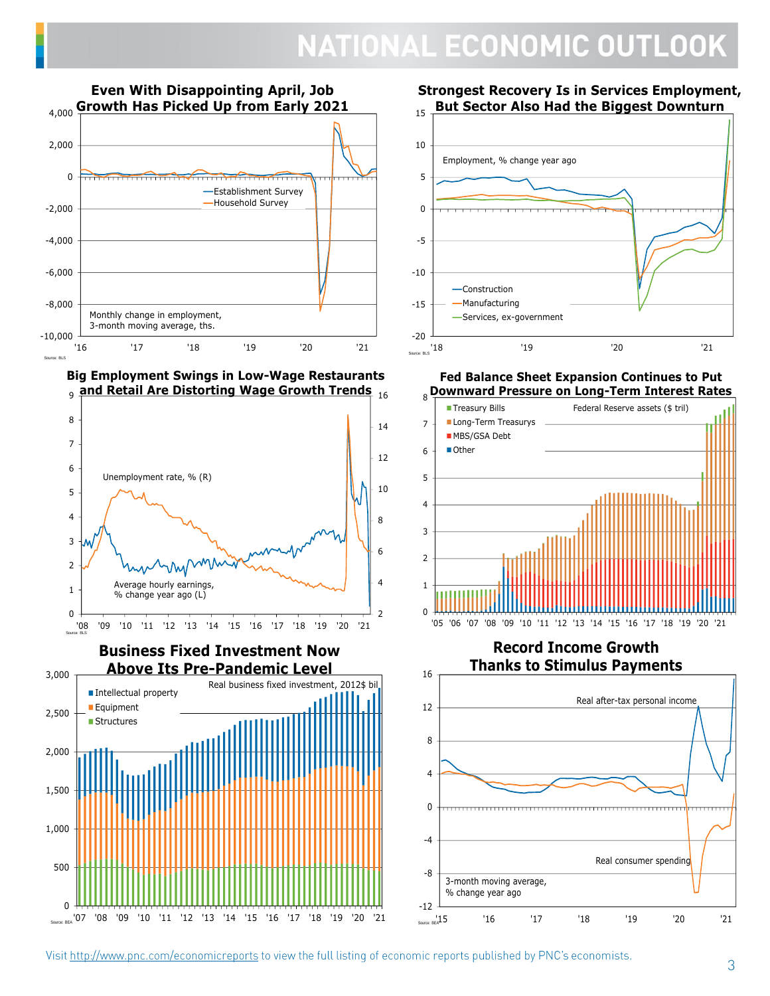

**Big Employment Swings in Low-Wage Restaurants and Retail Are Distorting Wage Growth Trends** 16 9





**Strongest Recovery Is in Services Employment, But Sector Also Had the Biggest Downturn**



**Fed Balance Sheet Expansion Continues to Put** 



**Record Income Growth Thanks to Stimulus Payments**

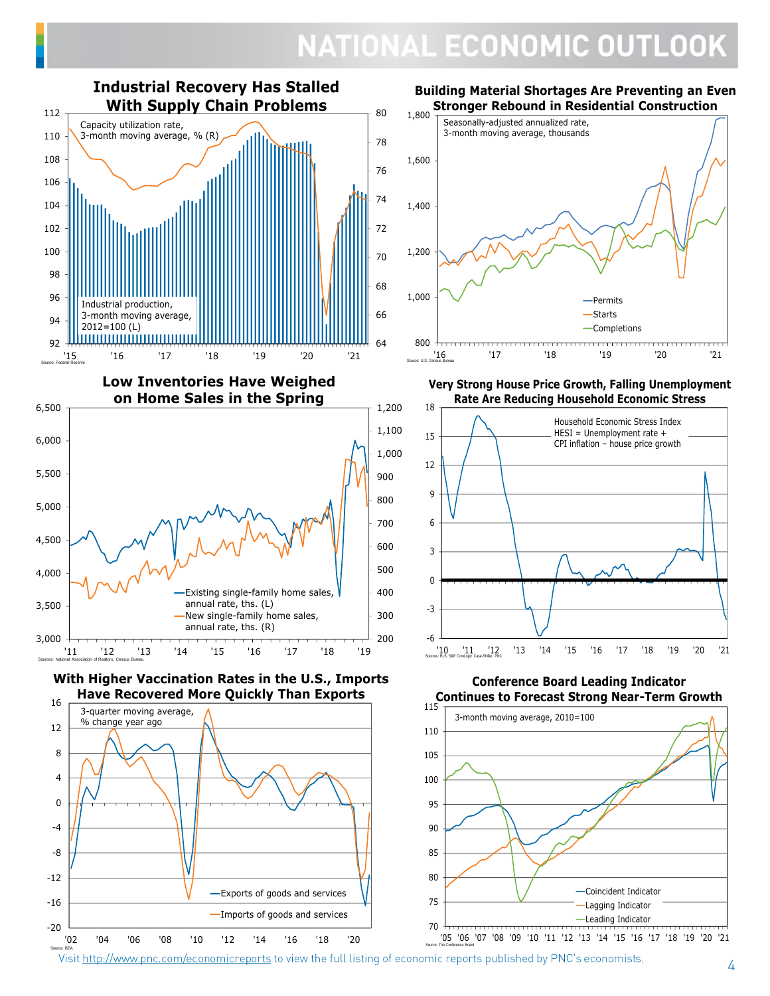